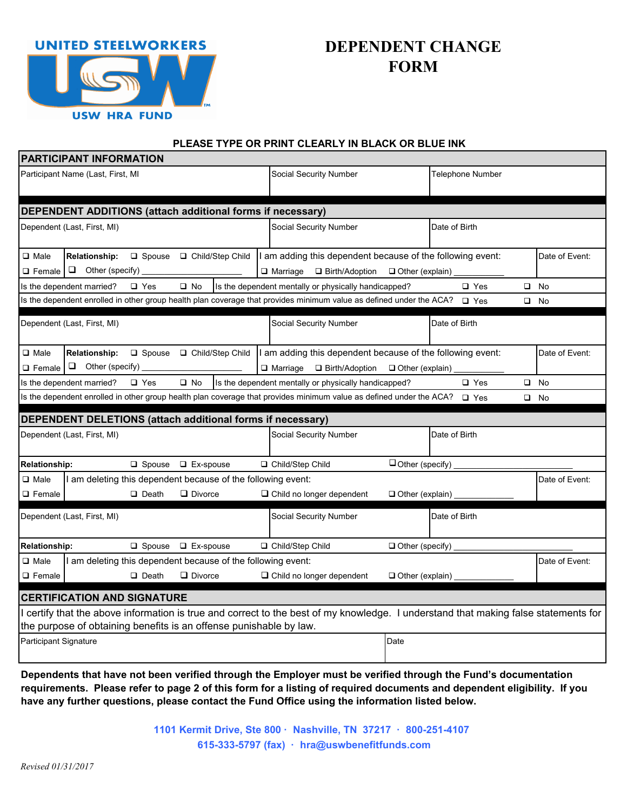

# **DEPENDENT CHANGE FORM**

#### **PLEASE TYPE OR PRINT CLEARLY IN BLACK OR BLUE INK**

|                                                                                                                                                     | <b>PARTICIPANT INFORMATION</b>                 |               |                                                                              |                        |                                                                                                                                     |                        |               |                |
|-----------------------------------------------------------------------------------------------------------------------------------------------------|------------------------------------------------|---------------|------------------------------------------------------------------------------|------------------------|-------------------------------------------------------------------------------------------------------------------------------------|------------------------|---------------|----------------|
| Participant Name (Last, First, MI                                                                                                                   |                                                |               |                                                                              | Social Security Number |                                                                                                                                     | Telephone Number       |               |                |
|                                                                                                                                                     |                                                |               | DEPENDENT ADDITIONS (attach additional forms if necessary)                   |                        |                                                                                                                                     |                        |               |                |
|                                                                                                                                                     | Dependent (Last, First, MI)                    |               |                                                                              |                        | Social Security Number                                                                                                              |                        | Date of Birth |                |
| $\Box$ Male<br>$\Box$ Female                                                                                                                        | <b>Relationship:</b><br>$\Box$ Other (specify) |               | □ Spouse □ Child/Step Child                                                  |                        | I am adding this dependent because of the following event:<br>$\Box$ Birth/Adoption<br>$\Box$ Marriage                              | $\Box$ Other (explain) |               | Date of Event: |
| $\square$ No<br>$\square$ Yes<br>Is the dependent married?<br>$\square$ Yes<br>Is the dependent mentally or physically handicapped?<br>$\Box$<br>No |                                                |               |                                                                              |                        |                                                                                                                                     |                        |               |                |
| Is the dependent enrolled in other group health plan coverage that provides minimum value as defined under the ACA?<br>$\Box$ Yes<br>$\square$ No   |                                                |               |                                                                              |                        |                                                                                                                                     |                        |               |                |
|                                                                                                                                                     | Dependent (Last, First, MI)                    |               |                                                                              |                        | Social Security Number                                                                                                              |                        | Date of Birth |                |
| $\Box$ Male<br>$\Box$ Female                                                                                                                        | <b>Relationship:</b><br>$\Box$ Other (specify) |               | □ Spouse □ Child/Step Child                                                  |                        | I am adding this dependent because of the following event:<br>$\Box$ Marriage<br>$\Box$ Birth/Adoption                              | □ Other (explain)      |               | Date of Event: |
| $\Box$ Yes<br>$\Box$ No<br>$\Box$ Yes<br>$\Box$ No<br>Is the dependent mentally or physically handicapped?<br>Is the dependent married?             |                                                |               |                                                                              |                        |                                                                                                                                     |                        |               |                |
| Is the dependent enrolled in other group health plan coverage that provides minimum value as defined under the ACA?<br>$\Box$ Yes<br>$\square$ No   |                                                |               |                                                                              |                        |                                                                                                                                     |                        |               |                |
| DEPENDENT DELETIONS (attach additional forms if necessary)                                                                                          |                                                |               |                                                                              |                        |                                                                                                                                     |                        |               |                |
|                                                                                                                                                     |                                                |               |                                                                              |                        |                                                                                                                                     |                        |               |                |
|                                                                                                                                                     | Dependent (Last, First, MI)                    |               |                                                                              |                        | Social Security Number                                                                                                              |                        | Date of Birth |                |
| Relationship:                                                                                                                                       |                                                | $\Box$ Spouse | $\Box$ Ex-spouse                                                             |                        | □ Child/Step Child                                                                                                                  | $\Box$ Other (specify) |               |                |
| $\Box$ Male<br>$\Box$ Female                                                                                                                        |                                                | $\Box$ Death  | am deleting this dependent because of the following event:<br>$\Box$ Divorce |                        | □ Child no longer dependent                                                                                                         | Other (explain)        |               | Date of Event: |
|                                                                                                                                                     | Dependent (Last, First, MI)                    |               |                                                                              |                        | Social Security Number                                                                                                              |                        | Date of Birth |                |
| <b>Relationship:</b>                                                                                                                                |                                                | $\Box$ Spouse | $\Box$ Ex-spouse                                                             |                        | □ Child/Step Child                                                                                                                  | $\Box$ Other (specify) |               |                |
| $\Box$ Male                                                                                                                                         |                                                |               | am deleting this dependent because of the following event:                   |                        |                                                                                                                                     |                        |               | Date of Event: |
| $\Box$ Female                                                                                                                                       |                                                | $\Box$ Death  | $\Box$ Divorce                                                               |                        | □ Child no longer dependent                                                                                                         | Other (explain)        |               |                |
|                                                                                                                                                     | <b>CERTIFICATION AND SIGNATURE</b>             |               |                                                                              |                        |                                                                                                                                     |                        |               |                |
|                                                                                                                                                     |                                                |               | the purpose of obtaining benefits is an offense punishable by law.           |                        | I certify that the above information is true and correct to the best of my knowledge. I understand that making false statements for |                        |               |                |

**Dependents that have not been verified through the Employer must be verified through the Fund's documentation requirements. Please refer to page 2 of this form for a listing of required documents and dependent eligibility. If you have any further questions, please contact the Fund Office using the information listed below.**

> **1101 Kermit Drive, Ste 800 · Nashville, TN 37217 · 800-251-4107 615-333-5797 (fax) · hra@uswbenefitfunds.com**